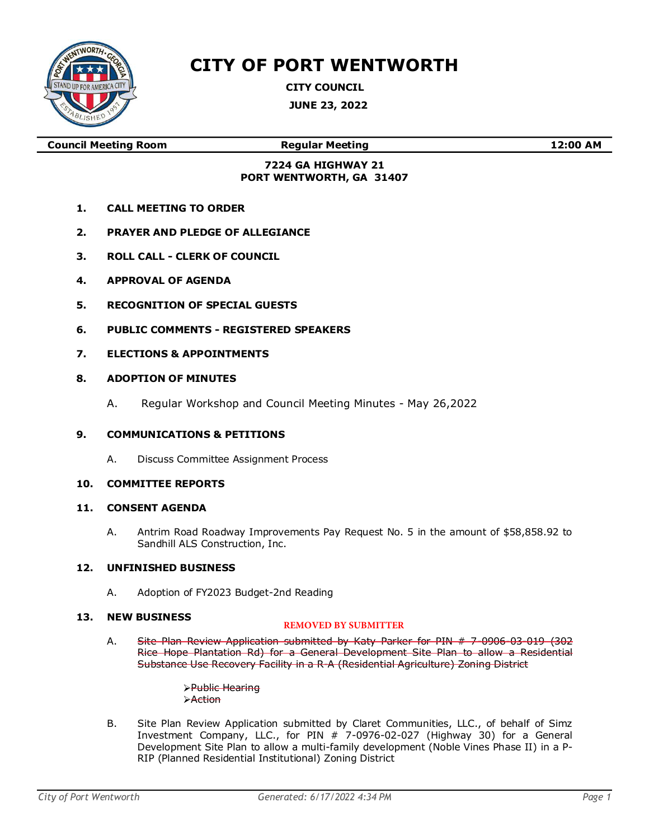

# CITY OF PORT WENTWORTH

CITY COUNCIL JUNE 23, 2022

Council Meeting Room Regular Meeting 12:00 AM

# 7224 GA HIGHWAY 21 PORT WENTWORTH, GA 31407

- 1. CALL MEETING TO ORDER
- 2. PRAYER AND PLEDGE OF ALLEGIANCE
- 3. ROLL CALL CLERK OF COUNCIL
- 4. APPROVAL OF AGENDA
- 5. RECOGNITION OF SPECIAL GUESTS
- 6. PUBLIC COMMENTS REGISTERED SPEAKERS
- 7. ELECTIONS & APPOINTMENTS
- 8. ADOPTION OF MINUTES
	- A. Regular Workshop and Council Meeting Minutes May 26,2022

## 9. COMMUNICATIONS & PETITIONS

A. Discuss Committee Assignment Process

## 10. COMMITTEE REPORTS

## 11. CONSENT AGENDA

A. Antrim Road Roadway Improvements Pay Request No. 5 in the amount of \$58,858.92 to Sandhill ALS Construction, Inc.

# 12. UNFINISHED BUSINESS

A. Adoption of FY2023 Budget-2nd Reading

#### 13. NEW BUSINESS

## **REMOVED BY SUBMITTER**

A. Site Plan Review Application submitted by Katy Parker for PIN # 7-0906-03-019 (302 Rice Hope Plantation Rd) for a General Development Site Plan to allow a Residential Substance Use Recovery Facility in a R-A (Residential Agriculture) Zoning District

> Public Hearing **>Action**

B. Site Plan Review Application submitted by Claret Communities, LLC., of behalf of Simz Investment Company, LLC., for PIN # 7-0976-02-027 (Highway 30) for a General Development Site Plan to allow a multi-family development (Noble Vines Phase II) in a P-RIP (Planned Residential Institutional) Zoning District